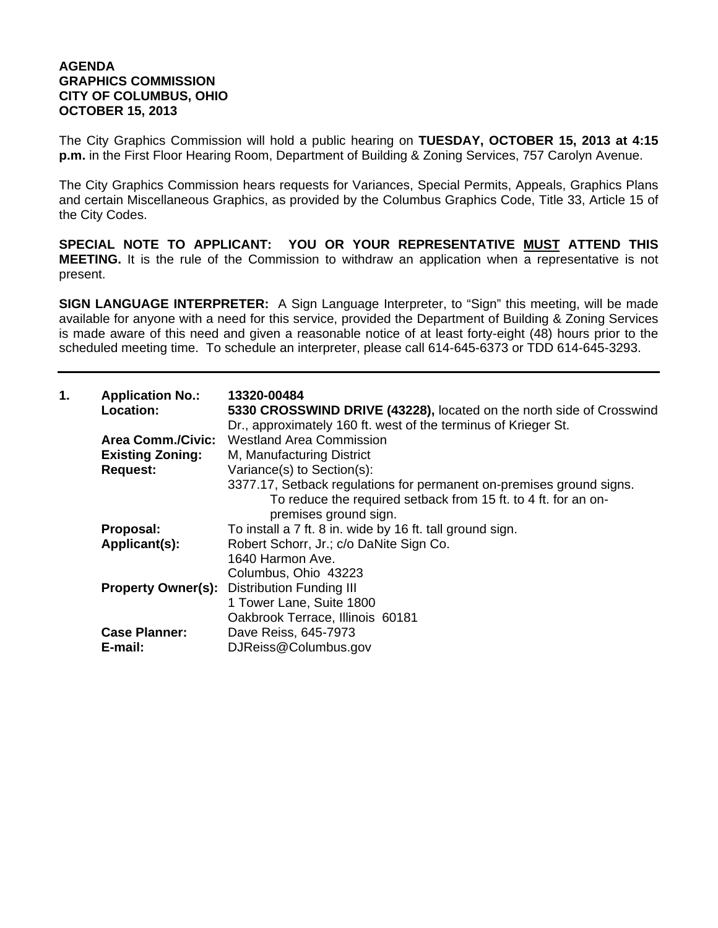## **AGENDA GRAPHICS COMMISSION CITY OF COLUMBUS, OHIO OCTOBER 15, 2013**

The City Graphics Commission will hold a public hearing on **TUESDAY, OCTOBER 15, 2013 at 4:15 p.m.** in the First Floor Hearing Room, Department of Building & Zoning Services, 757 Carolyn Avenue.

The City Graphics Commission hears requests for Variances, Special Permits, Appeals, Graphics Plans and certain Miscellaneous Graphics, as provided by the Columbus Graphics Code, Title 33, Article 15 of the City Codes.

**SPECIAL NOTE TO APPLICANT: YOU OR YOUR REPRESENTATIVE MUST ATTEND THIS MEETING.** It is the rule of the Commission to withdraw an application when a representative is not present.

**SIGN LANGUAGE INTERPRETER:** A Sign Language Interpreter, to "Sign" this meeting, will be made available for anyone with a need for this service, provided the Department of Building & Zoning Services is made aware of this need and given a reasonable notice of at least forty-eight (48) hours prior to the scheduled meeting time. To schedule an interpreter, please call 614-645-6373 or TDD 614-645-3293.

| 1. | <b>Application No.:</b><br><b>Location:</b> | 13320-00484<br>5330 CROSSWIND DRIVE (43228), located on the north side of Crosswind<br>Dr., approximately 160 ft. west of the terminus of Krieger St.           |
|----|---------------------------------------------|-----------------------------------------------------------------------------------------------------------------------------------------------------------------|
|    | <b>Area Comm./Civic:</b>                    | <b>Westland Area Commission</b>                                                                                                                                 |
|    | <b>Existing Zoning:</b>                     | M, Manufacturing District                                                                                                                                       |
|    | <b>Request:</b>                             | Variance(s) to Section(s):                                                                                                                                      |
|    |                                             | 3377.17, Setback regulations for permanent on-premises ground signs.<br>To reduce the required setback from 15 ft. to 4 ft. for an on-<br>premises ground sign. |
|    | Proposal:                                   | To install a 7 ft. 8 in. wide by 16 ft. tall ground sign.                                                                                                       |
|    | Applicant(s):                               | Robert Schorr, Jr.; c/o DaNite Sign Co.                                                                                                                         |
|    |                                             | 1640 Harmon Ave.                                                                                                                                                |
|    |                                             | Columbus, Ohio 43223                                                                                                                                            |
|    | <b>Property Owner(s):</b>                   | <b>Distribution Funding III</b>                                                                                                                                 |
|    |                                             | 1 Tower Lane, Suite 1800                                                                                                                                        |
|    |                                             | Oakbrook Terrace, Illinois 60181                                                                                                                                |
|    | <b>Case Planner:</b>                        | Dave Reiss, 645-7973                                                                                                                                            |
|    | E-mail:                                     | DJReiss@Columbus.gov                                                                                                                                            |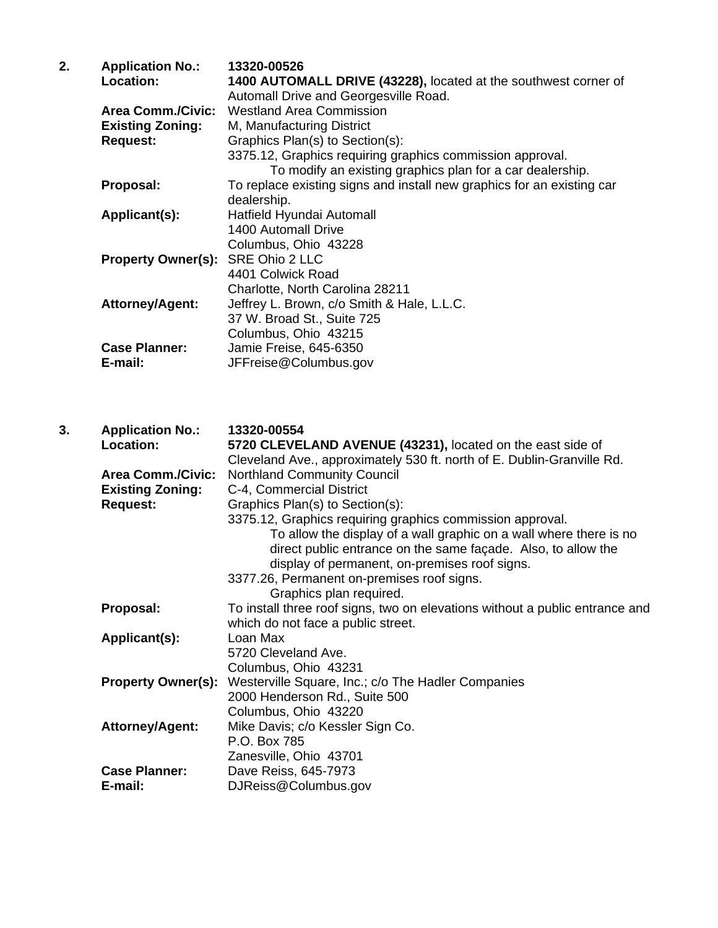| 2. | <b>Application No.:</b><br>Location:                                   | 13320-00526<br>1400 AUTOMALL DRIVE (43228), located at the southwest corner of<br>Automall Drive and Georgesville Road.                                                                                                                                                                                                    |
|----|------------------------------------------------------------------------|----------------------------------------------------------------------------------------------------------------------------------------------------------------------------------------------------------------------------------------------------------------------------------------------------------------------------|
|    | <b>Area Comm./Civic:</b><br><b>Existing Zoning:</b><br><b>Request:</b> | <b>Westland Area Commission</b><br>M, Manufacturing District<br>Graphics Plan(s) to Section(s):<br>3375.12, Graphics requiring graphics commission approval.                                                                                                                                                               |
|    | Proposal:                                                              | To modify an existing graphics plan for a car dealership.<br>To replace existing signs and install new graphics for an existing car<br>dealership.                                                                                                                                                                         |
|    | Applicant(s):                                                          | Hatfield Hyundai Automall<br>1400 Automall Drive                                                                                                                                                                                                                                                                           |
|    | <b>Property Owner(s):</b>                                              | Columbus, Ohio 43228<br>SRE Ohio 2 LLC<br>4401 Colwick Road                                                                                                                                                                                                                                                                |
|    | Attorney/Agent:                                                        | Charlotte, North Carolina 28211<br>Jeffrey L. Brown, c/o Smith & Hale, L.L.C.<br>37 W. Broad St., Suite 725<br>Columbus, Ohio 43215                                                                                                                                                                                        |
|    | <b>Case Planner:</b><br>E-mail:                                        | Jamie Freise, 645-6350<br>JFFreise@Columbus.gov                                                                                                                                                                                                                                                                            |
| 3. | <b>Application No.:</b><br>Location:                                   | 13320-00554<br>5720 CLEVELAND AVENUE (43231), located on the east side of<br>Cleveland Ave., approximately 530 ft. north of E. Dublin-Granville Rd.                                                                                                                                                                        |
|    | <b>Area Comm./Civic:</b><br><b>Existing Zoning:</b><br><b>Request:</b> | <b>Northland Community Council</b><br>C-4, Commercial District<br>Graphics Plan(s) to Section(s):                                                                                                                                                                                                                          |
|    |                                                                        | 3375.12, Graphics requiring graphics commission approval.<br>To allow the display of a wall graphic on a wall where there is no<br>direct public entrance on the same façade. Also, to allow the<br>display of permanent, on-premises roof signs.<br>3377.26, Permanent on-premises roof signs.<br>Graphics plan required. |
|    | Proposal:                                                              | To install three roof signs, two on elevations without a public entrance and<br>which do not face a public street.                                                                                                                                                                                                         |

**Applicant(s):** Loan Max

Columbus, Ohio 43220<br>Attorney/Agent: Mike Davis; c/o Kessler

**Case Planner:** Dave Reiss, 645-7973 **E-mail:** DJReiss@Columbus.gov

P.O. Box 785

5720 Cleveland Ave. Columbus, Ohio 43231 **Property Owner(s):** Westerville Square, Inc.; c/o The Hadler Companies 2000 Henderson Rd., Suite 500

Zanesville, Ohio 43701

Mike Davis; c/o Kessler Sign Co.